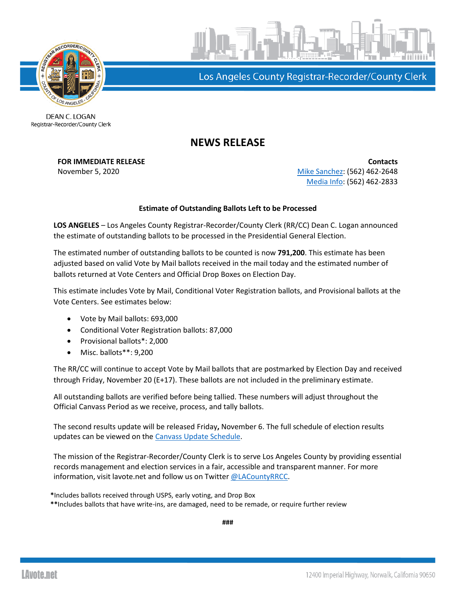



Los Angeles County Registrar-Recorder/County Clerk

DEAN C. LOGAN Registrar-Recorder/County Clerk

## **NEWS RELEASE**

**FOR IMMEDIATE RELEASE CONTACTS** November 5, 2020 **[Mike Sanchez:](mailto:msanchez@rrcc.lacounty.gov)** (562) 462-2648 [Media Info:](mailto:mediainfo@rrcc.lacounty.gov) (562) 462-2833

## **Estimate of Outstanding Ballots Left to be Processed**

**LOS ANGELES** – Los Angeles County Registrar-Recorder/County Clerk (RR/CC) Dean C. Logan announced the estimate of outstanding ballots to be processed in the Presidential General Election.

The estimated number of outstanding ballots to be counted is now **791,200**. This estimate has been adjusted based on valid Vote by Mail ballots received in the mail today and the estimated number of ballots returned at Vote Centers and Official Drop Boxes on Election Day.

This estimate includes Vote by Mail, Conditional Voter Registration ballots, and Provisional ballots at the Vote Centers. See estimates below:

- Vote by Mail ballots: 693,000
- Conditional Voter Registration ballots: 87,000
- Provisional ballots\*: 2,000
- Misc. ballots\*\*: 9,200

The RR/CC will continue to accept Vote by Mail ballots that are postmarked by Election Day and received through Friday, November 20 (E+17). These ballots are not included in the preliminary estimate.

All outstanding ballots are verified before being tallied. These numbers will adjust throughout the Official Canvass Period as we receive, process, and tally ballots.

The second results update will be released Friday**,** November 6. The full schedule of election results updates can be viewed on the [Canvass Update Schedule.](https://lavote.net/docs/rrcc/election-info/11032020_canvass-update-schedule.pdf?)

The mission of the Registrar-Recorder/County Clerk is to serve Los Angeles County by providing essential records management and election services in a fair, accessible and transparent manner. For more information, visit lavote.net and follow us on Twitter [@LACountyRRCC.](https://twitter.com/LACountyRRCC)

**\***Includes ballots received through USPS, early voting, and Drop Box

**\*\***Includes ballots that have write-ins, are damaged, need to be remade, or require further review

**###**

**LAvote.net**